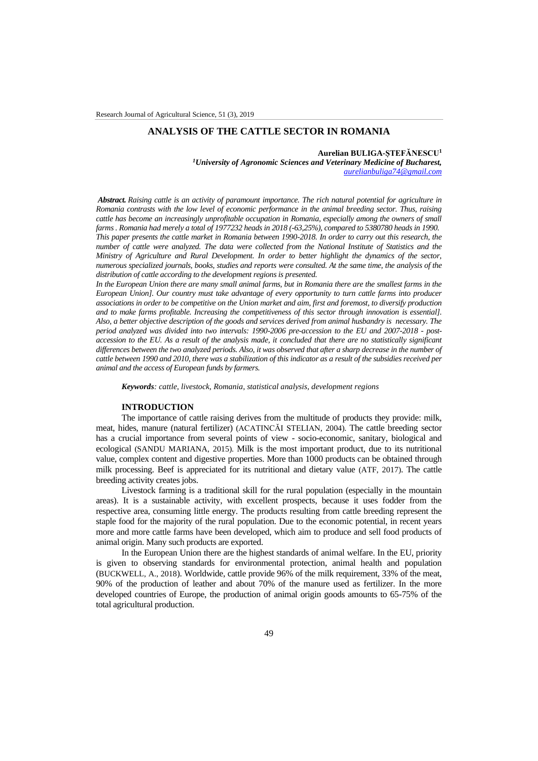# **ANALYSIS OF THE CATTLE SECTOR IN ROMANIA**

## **Aurelian BULIGA-ȘTEFĂNESCU<sup>1</sup>**

*<sup>1</sup>University of Agronomic Sciences and Veterinary Medicine of Bucharest, [aurelianbuliga74@gmail.com](mailto:aurelianbuliga74@gmail.com)*

*Abstract. Raising cattle is an activity of paramount importance. The rich natural potential for agriculture in Romania contrasts with the low level of economic performance in the animal breeding sector. Thus, raising cattle has become an increasingly unprofitable occupation in Romania, especially among the owners of small farms . Romania had merely a total of 1977232 heads in 2018 (-63,25%), compared to 5380780 heads in 1990. This paper presents the cattle market in Romania between 1990-2018. In order to carry out this research, the number of cattle were analyzed. The data were collected from the National Institute of Statistics and the Ministry of Agriculture and Rural Development. In order to better highlight the dynamics of the sector, numerous specialized journals, books, studies and reports were consulted. At the same time, the analysis of the distribution of cattle according to the development regions is presented.*

*In the European Union there are many small animal farms, but in Romania there are the smallest farms in the European Union]. Our country must take advantage of every opportunity to turn cattle farms into producer associations in order to be competitive on the Union market and aim, first and foremost, to diversify production and to make farms profitable. Increasing the competitiveness of this sector through innovation is essential]. Also, a better objective description of the goods and services derived from animal husbandry is necessary. The period analyzed was divided into two intervals: 1990-2006 pre-accession to the EU and 2007-2018 - postaccession to the EU. As a result of the analysis made, it concluded that there are no statistically significant differences between the two analyzed periods. Also, it was observed that after a sharp decrease in the number of cattle between 1990 and 2010, there was a stabilization of this indicator as a result of the subsidies received per animal and the access of European funds by farmers.*

*Keywords: cattle, livestock, Romania, statistical analysis, development regions*

#### **INTRODUCTION**

The importance of cattle raising derives from the multitude of products they provide: milk, meat, hides, manure (natural fertilizer) (ACATINCĂI STELIAN, 2004). The cattle breeding sector has a crucial importance from several points of view - socio-economic, sanitary, biological and ecological (SANDU MARIANA, 2015). Milk is the most important product, due to its nutritional value, complex content and digestive properties. More than 1000 products can be obtained through milk processing. Beef is appreciated for its nutritional and dietary value (ATF, 2017). The cattle breeding activity creates jobs.

Livestock farming is a traditional skill for the rural population (especially in the mountain areas). It is a sustainable activity, with excellent prospects, because it uses fodder from the respective area, consuming little energy. The products resulting from cattle breeding represent the staple food for the majority of the rural population. Due to the economic potential, in recent years more and more cattle farms have been developed, which aim to produce and sell food products of animal origin. Many such products are exported.

In the European Union there are the highest standards of animal welfare. In the EU, priority is given to observing standards for environmental protection, animal health and population (BUCKWELL, A., 2018). Worldwide, cattle provide 96% of the milk requirement, 33% of the meat, 90% of the production of leather and about 70% of the manure used as fertilizer. In the more developed countries of Europe, the production of animal origin goods amounts to 65-75% of the total agricultural production.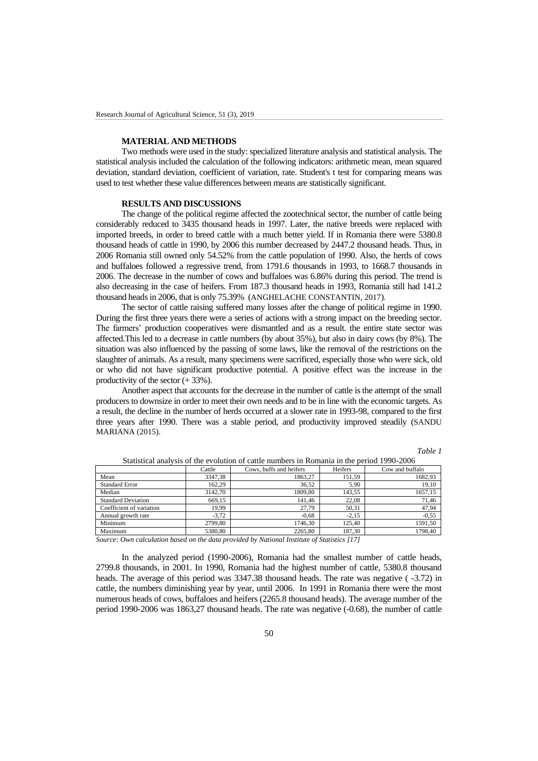#### **MATERIAL AND METHODS**

Two methods were used in the study: specialized literature analysis and statistical analysis. The statistical analysis included the calculation of the following indicators: arithmetic mean, mean squared deviation, standard deviation, coefficient of variation, rate. Student's t test for comparing means was used to test whether these value differences between means are statistically significant.

### **RESULTS AND DISCUSSIONS**

The change of the political regime affected the zootechnical sector, the number of cattle being considerably reduced to 3435 thousand heads in 1997. Later, the native breeds were replaced with imported breeds, in order to breed cattle with a much better yield. If in Romania there were 5380.8 thousand heads of cattle in 1990, by 2006 this number decreased by 2447.2 thousand heads. Thus, in 2006 Romania still owned only 54.52% from the cattle population of 1990. Also, the herds of cows and buffaloes followed a regressive trend, from 1791.6 thousands in 1993, to 1668.7 thousands in 2006. The decrease in the number of cows and buffaloes was 6.86% during this period. The trend is also decreasing in the case of heifers. From 187.3 thousand heads in 1993, Romania still had 141.2 thousand heads in 2006, that is only 75.39% (ANGHELACHE CONSTANTIN, 2017).

The sector of cattle raising suffered many losses after the change of political regime in 1990. During the first three years there were a series of actions with a strong impact on the breeding sector. The farmers' production cooperatives were dismantled and as a result. the entire state sector was affected.This led to a decrease in cattle numbers (by about 35%), but also in dairy cows (by 8%). The situation was also influenced by the passing of some laws, like the removal of the restrictions on the slaughter of animals. As a result, many specimens were sacrificed, especially those who were sick, old or who did not have significant productive potential. A positive effect was the increase in the productivity of the sector  $(+33%)$ .

Another aspect that accounts for the decrease in the number of cattle is the attempt of the small producers to downsize in order to meet their own needs and to be in line with the economic targets. As a result, the decline in the number of herds occurred at a slower rate in 1993-98, compared to the first three years after 1990. There was a stable period, and productivity improved steadily (SANDU MARIANA (2015).

*Table 1*

|                           | Cattle  | Cows, buffs and heifers | Heifers | Cow and buffalo |
|---------------------------|---------|-------------------------|---------|-----------------|
| Mean                      | 3347.38 | 1863.27                 | 151,59  | 1682.93         |
| <b>Standard Error</b>     | 162.29  | 36,52                   | 5.90    | 19.10           |
| Median                    | 3142.70 | 1809.80                 | 143.55  | 1657.15         |
| <b>Standard Deviation</b> | 669.15  | 141.46                  | 22.08   | 71.46           |
| Coefficient of variation  | 19,99   | 27,79                   | 50,31   | 47,94           |
| Annual growth rate        | $-3.72$ | $-0.68$                 | $-2.15$ | $-0.55$         |
| Minimum                   | 2799.80 | 1746.30                 | 125.40  | 1591.50         |
| Maximum                   | 5380.80 | 2265.80                 | 187.30  | 1798.40         |

Statistical analysis of the evolution of cattle numbers in Romania in the period 1990-2006

*Source: Own calculation based on the data provided by National Institute of Statistics [17]*

In the analyzed period (1990-2006), Romania had the smallest number of cattle heads, 2799.8 thousands, in 2001. In 1990, Romania had the highest number of cattle, 5380.8 thousand heads. The average of this period was 3347.38 thousand heads. The rate was negative ( $-3.72$ ) in cattle, the numbers diminishing year by year, until 2006. In 1991 in Romania there were the most numerous heads of cows, buffaloes and heifers (2265.8 thousand heads). The average number of the period 1990-2006 was 1863,27 thousand heads. The rate was negative (-0.68), the number of cattle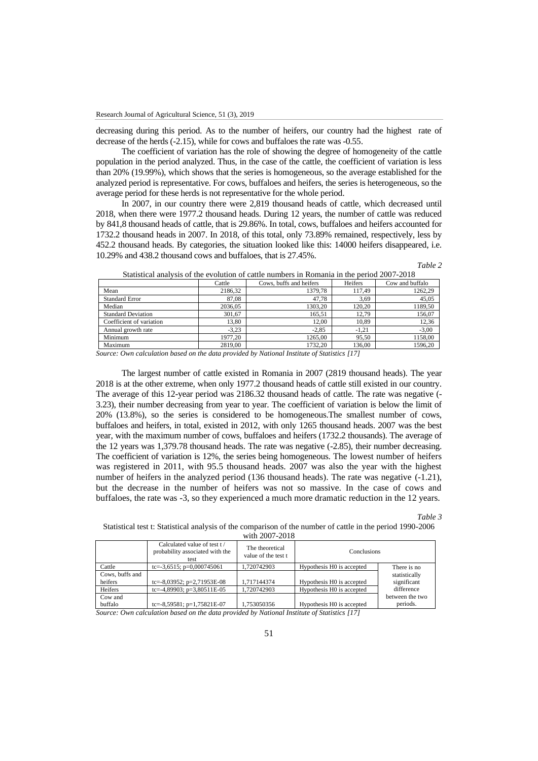decreasing during this period. As to the number of heifers, our country had the highest rate of decrease of the herds (-2.15), while for cows and buffaloes the rate was -0.55.

The coefficient of variation has the role of showing the degree of homogeneity of the cattle population in the period analyzed. Thus, in the case of the cattle, the coefficient of variation is less than 20% (19.99%), which shows that the series is homogeneous, so the average established for the analyzed period is representative. For cows, buffaloes and heifers, the series is heterogeneous, so the average period for these herds is not representative for the whole period.

In 2007, in our country there were 2,819 thousand heads of cattle, which decreased until 2018, when there were 1977.2 thousand heads. During 12 years, the number of cattle was reduced by 841,8 thousand heads of cattle, that is 29.86%. In total, cows, buffaloes and heifers accounted for 1732.2 thousand heads in 2007. In 2018, of this total, only 73.89% remained, respectively, less by 452.2 thousand heads. By categories, the situation looked like this: 14000 heifers disappeared, i.e. 10.29% and 438.2 thousand cows and buffaloes, that is 27.45%.

| able |  |
|------|--|
|      |  |

|                           | Cattle  | Cows, buffs and heifers | Heifers | Cow and buffalo |
|---------------------------|---------|-------------------------|---------|-----------------|
| Mean                      | 2186.32 | 1379.78                 | 117.49  | 1262.29         |
| <b>Standard Error</b>     | 87.08   | 47.78                   | 3.69    | 45,05           |
| Median                    | 2036.05 | 1303.20                 | 120.20  | 1189,50         |
| <b>Standard Deviation</b> | 301.67  | 165.51                  | 12.79   | 156,07          |
| Coefficient of variation  | 13.80   | 12.00                   | 10,89   | 12,36           |
| Annual growth rate        | $-3.23$ | $-2.85$                 | $-1,21$ | $-3,00$         |
| Minimum                   | 1977.20 | 1265.00                 | 95,50   | 1158,00         |
| Maximum                   | 2819.00 | 1732.20                 | 136,00  | 1596.20         |

Statistical analysis of the evolution of cattle numbers in Romania in the period 2007-2018

*Source: Own calculation based on the data provided by National Institute of Statistics [17]*

The largest number of cattle existed in Romania in 2007 (2819 thousand heads). The year 2018 is at the other extreme, when only 1977.2 thousand heads of cattle still existed in our country. The average of this 12-year period was 2186.32 thousand heads of cattle. The rate was negative (- 3.23), their number decreasing from year to year. The coefficient of variation is below the limit of 20% (13.8%), so the series is considered to be homogeneous.The smallest number of cows, buffaloes and heifers, in total, existed in 2012, with only 1265 thousand heads. 2007 was the best year, with the maximum number of cows, buffaloes and heifers (1732.2 thousands). The average of the 12 years was 1,379.78 thousand heads. The rate was negative (-2.85), their number decreasing. The coefficient of variation is 12%, the series being homogeneous. The lowest number of heifers was registered in 2011, with 95.5 thousand heads. 2007 was also the year with the highest number of heifers in the analyzed period (136 thousand heads). The rate was negative  $(-1.21)$ , but the decrease in the number of heifers was not so massive. In the case of cows and buffaloes, the rate was -3, so they experienced a much more dramatic reduction in the 12 years.

*Table 3*

Statistical test t: Statistical analysis of the comparison of the number of cattle in the period 1990-2006 with 2007-2018

|                 | Calculated value of test t/<br>probability associated with the<br>test | The theoretical<br>value of the test t | Conclusions               |                 |  |
|-----------------|------------------------------------------------------------------------|----------------------------------------|---------------------------|-----------------|--|
| Cattle          | tc=-3,6515; $p=0,000745061$                                            | 1.720742903                            | Hypothesis H0 is accepted | There is no     |  |
| Cows, buffs and |                                                                        |                                        |                           | statistically   |  |
| heifers         | tc=-8,03952; $p=2,71953E-08$                                           | 1.717144374                            | Hypothesis H0 is accepted | significant     |  |
| Heifers         | tc=-4,89903; $p=3,80511E-05$                                           | 1.720742903                            | Hypothesis H0 is accepted | difference      |  |
| Cow and         |                                                                        |                                        |                           | between the two |  |
| buffalo         | tc=-8,59581; $p=1,75821E-07$                                           | 1.753050356                            | Hypothesis H0 is accepted | periods.        |  |

*Source: Own calculation based on the data provided by National Institute of Statistics [17]*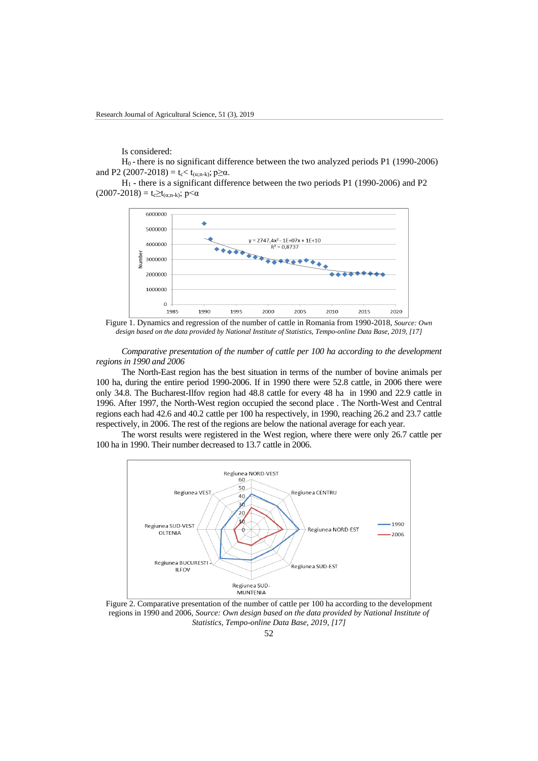Is considered:

H0 - there is no significant difference between the two analyzed periods P1 (1990-2006) and P2 (2007-2018) =  $t_c < t_{(\alpha;n-k)}$ ; p $\geq \alpha$ .

H<sup>1</sup> - there is a significant difference between the two periods P1 (1990-2006) and P2 (2007-2018) = t<sub>c</sub> $\geq$ t<sub>(α;n-k)</sub>; p<α



Figure 1. Dynamics and regression of the number of cattle in Romania from 1990-2018, *Source: Own design based on the data provided by National Institute of Statistics, Tempo-online Data Base, 2019, [17]*

*Comparative presentation of the number of cattle per 100 ha according to the development regions in 1990 and 2006*

The North-East region has the best situation in terms of the number of bovine animals per 100 ha, during the entire period 1990-2006. If in 1990 there were 52.8 cattle, in 2006 there were only 34.8. The Bucharest-Ilfov region had 48.8 cattle for every 48 ha in 1990 and 22.9 cattle in 1996. After 1997, the North-West region occupied the second place . The North-West and Central regions each had 42.6 and 40.2 cattle per 100 ha respectively, in 1990, reaching 26.2 and 23.7 cattle respectively, in 2006. The rest of the regions are below the national average for each year.

The worst results were registered in the West region, where there were only 26.7 cattle per 100 ha in 1990. Their number decreased to 13.7 cattle in 2006.



Figure 2. Comparative presentation of the number of cattle per 100 ha according to the development regions in 1990 and 2006, *Source: Own design based on the data provided by National Institute of Statistics, Tempo-online Data Base, 2019, [17]*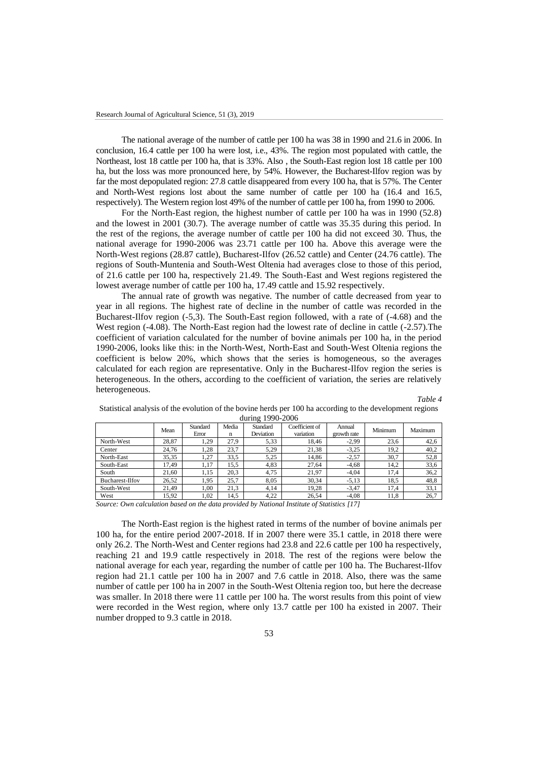The national average of the number of cattle per 100 ha was 38 in 1990 and 21.6 in 2006. In conclusion, 16.4 cattle per 100 ha were lost, i.e., 43%. The region most populated with cattle, the Northeast, lost 18 cattle per 100 ha, that is 33%. Also , the South-East region lost 18 cattle per 100 ha, but the loss was more pronounced here, by 54%. However, the Bucharest-Ilfov region was by far the most depopulated region: 27.8 cattle disappeared from every 100 ha, that is 57%. The Center and North-West regions lost about the same number of cattle per 100 ha (16.4 and 16.5, respectively). The Western region lost 49% of the number of cattle per 100 ha, from 1990 to 2006.

For the North-East region, the highest number of cattle per 100 ha was in 1990 (52.8) and the lowest in 2001 (30.7). The average number of cattle was 35.35 during this period. In the rest of the regions, the average number of cattle per 100 ha did not exceed 30. Thus, the national average for 1990-2006 was 23.71 cattle per 100 ha. Above this average were the North-West regions (28.87 cattle), Bucharest-Ilfov (26.52 cattle) and Center (24.76 cattle). The regions of South-Muntenia and South-West Oltenia had averages close to those of this period, of 21.6 cattle per 100 ha, respectively 21.49. The South-East and West regions registered the lowest average number of cattle per 100 ha, 17.49 cattle and 15.92 respectively.

The annual rate of growth was negative. The number of cattle decreased from year to year in all regions. The highest rate of decline in the number of cattle was recorded in the Bucharest-Ilfov region (-5,3). The South-East region followed, with a rate of (-4.68) and the West region (-4.08). The North-East region had the lowest rate of decline in cattle (-2.57). The coefficient of variation calculated for the number of bovine animals per 100 ha, in the period 1990-2006, looks like this: in the North-West, North-East and South-West Oltenia regions the coefficient is below 20%, which shows that the series is homogeneous, so the averages calculated for each region are representative. Only in the Bucharest-Ilfov region the series is heterogeneous. In the others, according to the coefficient of variation, the series are relatively heterogeneous.

*Table 4*

|                        |       |                   |            | $\frac{1}{2}$ $\frac{1}{2}$ $\frac{1}{2}$ $\frac{1}{2}$ $\frac{1}{2}$ $\frac{1}{2}$ $\frac{1}{2}$ $\frac{1}{2}$ $\frac{1}{2}$ $\frac{1}{2}$ $\frac{1}{2}$ $\frac{1}{2}$ $\frac{1}{2}$ $\frac{1}{2}$ $\frac{1}{2}$ $\frac{1}{2}$ $\frac{1}{2}$ $\frac{1}{2}$ $\frac{1}{2}$ $\frac{1}{2}$ $\frac{1}{2}$ $\frac{1}{2}$ |                             |                       |         |         |
|------------------------|-------|-------------------|------------|---------------------------------------------------------------------------------------------------------------------------------------------------------------------------------------------------------------------------------------------------------------------------------------------------------------------|-----------------------------|-----------------------|---------|---------|
|                        | Mean  | Standard<br>Error | Media<br>n | Standard<br>Deviation                                                                                                                                                                                                                                                                                               | Coefficient of<br>variation | Annual<br>growth rate | Minimum | Maximum |
| North-West             | 28.87 | 1,29              | 27,9       | 5,33                                                                                                                                                                                                                                                                                                                | 18.46                       | $-2,99$               | 23,6    | 42,6    |
| Center                 | 24.76 | 1.28              | 23.7       | 5,29                                                                                                                                                                                                                                                                                                                | 21,38                       | $-3,25$               | 19,2    | 40,2    |
| North-East             | 35.35 | 1,27              | 33,5       | 5,25                                                                                                                                                                                                                                                                                                                | 14.86                       | $-2,57$               | 30.7    | 52,8    |
| South-East             | 17.49 | 1,17              | 15,5       | 4,83                                                                                                                                                                                                                                                                                                                | 27,64                       | $-4,68$               | 14,2    | 33,6    |
| South                  | 21.60 | 1,15              | 20,3       | 4.75                                                                                                                                                                                                                                                                                                                | 21.97                       | $-4.04$               | 17,4    | 36,2    |
| <b>Bucharest-Ilfov</b> | 26.52 | 1,95              | 25,7       | 8.05                                                                                                                                                                                                                                                                                                                | 30,34                       | $-5,13$               | 18.5    | 48,8    |
| South-West             | 21.49 | 1.00              | 21,3       | 4.14                                                                                                                                                                                                                                                                                                                | 19.28                       | $-3.47$               | 17.4    | 33,1    |
| West                   | 15.92 | 1,02              | 14,5       | 4,22                                                                                                                                                                                                                                                                                                                | 26,54                       | $-4,08$               | 11,8    | 26,7    |
|                        |       |                   |            |                                                                                                                                                                                                                                                                                                                     |                             |                       |         |         |

Statistical analysis of the evolution of the bovine herds per 100 ha according to the development regions during 1990-2006

*Source: Own calculation based on the data provided by National Institute of Statistics [17]*

The North-East region is the highest rated in terms of the number of bovine animals per 100 ha, for the entire period 2007-2018. If in 2007 there were 35.1 cattle, in 2018 there were only 26.2. The North-West and Center regions had 23.8 and 22.6 cattle per 100 ha respectively, reaching 21 and 19.9 cattle respectively in 2018. The rest of the regions were below the national average for each year, regarding the number of cattle per 100 ha. The Bucharest-Ilfov region had 21.1 cattle per 100 ha in 2007 and 7.6 cattle in 2018. Also, there was the same number of cattle per 100 ha in 2007 in the South-West Oltenia region too, but here the decrease was smaller. In 2018 there were 11 cattle per 100 ha. The worst results from this point of view were recorded in the West region, where only 13.7 cattle per 100 ha existed in 2007. Their number dropped to 9.3 cattle in 2018.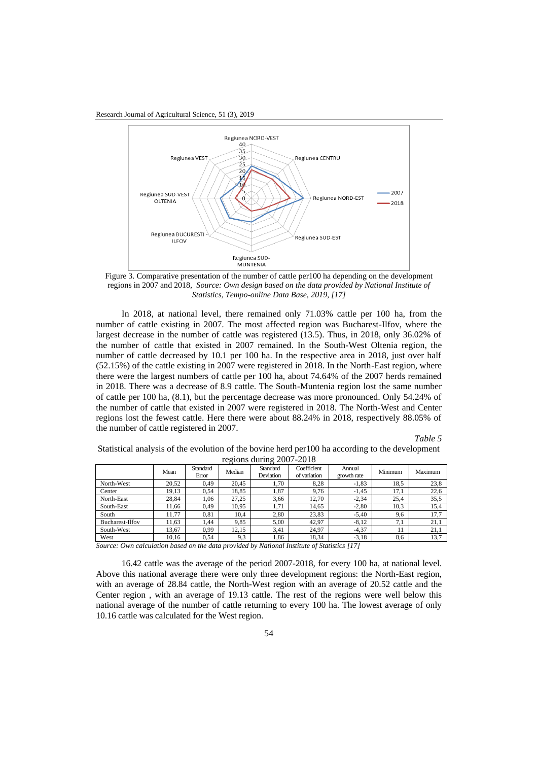Research Journal of Agricultural Science, 51 (3), 2019



Figure 3. Comparative presentation of the number of cattle per100 ha depending on the development regions in 2007 and 2018, *Source: Own design based on the data provided by National Institute of Statistics, Tempo-online Data Base, 2019, [17]*

In 2018, at national level, there remained only 71.03% cattle per 100 ha, from the number of cattle existing in 2007. The most affected region was Bucharest-Ilfov, where the largest decrease in the number of cattle was registered (13.5). Thus, in 2018, only 36.02% of the number of cattle that existed in 2007 remained. In the South-West Oltenia region, the number of cattle decreased by 10.1 per 100 ha. In the respective area in 2018, just over half (52.15%) of the cattle existing in 2007 were registered in 2018. In the North-East region, where there were the largest numbers of cattle per 100 ha, about 74.64% of the 2007 herds remained in 2018. There was a decrease of 8.9 cattle. The South-Muntenia region lost the same number of cattle per 100 ha, (8.1), but the percentage decrease was more pronounced. Only 54.24% of the number of cattle that existed in 2007 were registered in 2018. The North-West and Center regions lost the fewest cattle. Here there were about 88.24% in 2018, respectively 88.05% of the number of cattle registered in 2007.

*Table 5*

Statistical analysis of the evolution of the bovine herd per100 ha according to the development regions during 2007-2018

|                        |       |                   | . .    |                       |                             |                       |         |         |
|------------------------|-------|-------------------|--------|-----------------------|-----------------------------|-----------------------|---------|---------|
|                        | Mean  | Standard<br>Error | Median | Standard<br>Deviation | Coefficient<br>of variation | Annual<br>growth rate | Minimum | Maximum |
| North-West             | 20.52 | 0.49              | 20.45  | 1.70                  | 8.28                        | $-1.83$               | 18.5    | 23,8    |
| Center                 | 19.13 | 0.54              | 18.85  | 1,87                  | 9.76                        | $-1.45$               | 17,1    | 22,6    |
| North-East             | 28.84 | 1.06              | 27.25  | 3,66                  | 12.70                       | $-2.34$               | 25.4    | 35,5    |
| South-East             | 1.66  | 0.49              | 10.95  | 1.71                  | 14.65                       | $-2.80$               | 10.3    | 15,4    |
| South                  | 11.77 | 0,81              | 10.4   | 2,80                  | 23,83                       | $-5.40$               | 9,6     | 17,7    |
| <b>Bucharest-Ilfov</b> | 11.63 | .44               | 9,85   | 5,00                  | 42.97                       | $-8.12$               | 7,1     | 21,1    |
| South-West             | 13.67 | 0.99              | 12.15  | 3,41                  | 24,97                       | $-4,37$               | 11      | 21,1    |
| West                   | 10.16 | 0.54              | 9,3    | 1,86                  | 18.34                       | $-3,18$               | 8,6     | 13,7    |

*Source: Own calculation based on the data provided by National Institute of Statistics [17]*

16.42 cattle was the average of the period 2007-2018, for every 100 ha, at national level. Above this national average there were only three development regions: the North-East region, with an average of 28.84 cattle, the North-West region with an average of 20.52 cattle and the Center region , with an average of 19.13 cattle. The rest of the regions were well below this national average of the number of cattle returning to every 100 ha. The lowest average of only 10.16 cattle was calculated for the West region.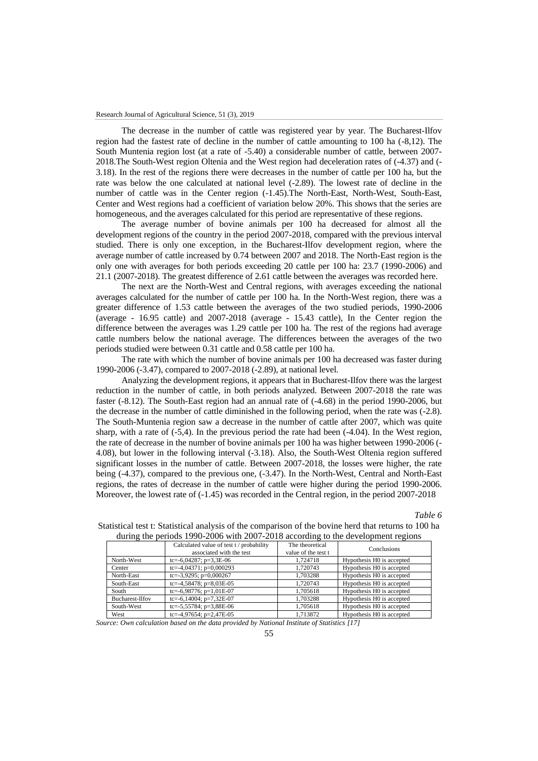The decrease in the number of cattle was registered year by year. The Bucharest-Ilfov region had the fastest rate of decline in the number of cattle amounting to 100 ha (-8,12). The South Muntenia region lost (at a rate of -5.40) a considerable number of cattle, between 2007- 2018.The South-West region Oltenia and the West region had deceleration rates of (-4.37) and (- 3.18). In the rest of the regions there were decreases in the number of cattle per 100 ha, but the rate was below the one calculated at national level (-2.89). The lowest rate of decline in the number of cattle was in the Center region (-1.45).The North-East, North-West, South-East, Center and West regions had a coefficient of variation below 20%. This shows that the series are homogeneous, and the averages calculated for this period are representative of these regions.

The average number of bovine animals per 100 ha decreased for almost all the development regions of the country in the period 2007-2018, compared with the previous interval studied. There is only one exception, in the Bucharest-Ilfov development region, where the average number of cattle increased by 0.74 between 2007 and 2018. The North-East region is the only one with averages for both periods exceeding 20 cattle per 100 ha: 23.7 (1990-2006) and 21.1 (2007-2018). The greatest difference of 2.61 cattle between the averages was recorded here.

The next are the North-West and Central regions, with averages exceeding the national averages calculated for the number of cattle per 100 ha. In the North-West region, there was a greater difference of 1.53 cattle between the averages of the two studied periods, 1990-2006 (average - 16.95 cattle) and 2007-2018 (average - 15.43 cattle), In the Center region the difference between the averages was 1.29 cattle per 100 ha. The rest of the regions had average cattle numbers below the national average. The differences between the averages of the two periods studied were between 0.31 cattle and 0.58 cattle per 100 ha.

The rate with which the number of bovine animals per 100 ha decreased was faster during 1990-2006 (-3.47), compared to 2007-2018 (-2.89), at national level.

Analyzing the development regions, it appears that in Bucharest-Ilfov there was the largest reduction in the number of cattle, in both periods analyzed. Between 2007-2018 the rate was faster (-8.12). The South-East region had an annual rate of (-4.68) in the period 1990-2006, but the decrease in the number of cattle diminished in the following period, when the rate was (-2.8). The South-Muntenia region saw a decrease in the number of cattle after 2007, which was quite sharp, with a rate of  $(-5,4)$ . In the previous period the rate had been  $(-4.04)$ . In the West region, the rate of decrease in the number of bovine animals per 100 ha was higher between 1990-2006 (- 4.08), but lower in the following interval (-3.18). Also, the South-West Oltenia region suffered significant losses in the number of cattle. Between 2007-2018, the losses were higher, the rate being (-4.37), compared to the previous one, (-3.47). In the North-West, Central and North-East regions, the rates of decrease in the number of cattle were higher during the period 1990-2006. Moreover, the lowest rate of (-1.45) was recorded in the Central region, in the period 2007-2018

*Table 6*

|                        | Calculated value of test t / probability<br>associated with the test | The theoretical<br>value of the test t | Conclusions               |
|------------------------|----------------------------------------------------------------------|----------------------------------------|---------------------------|
| North-West             | tc=-6,04287; $p=3,3E-06$                                             | 1.724718                               | Hypothesis H0 is accepted |
| Center                 | tc=-4,04371; $p=0,000293$                                            | 1.720743                               | Hypothesis H0 is accepted |
| North-East             | tc=-3,9295; $p=0,000267$                                             | 1.703288                               | Hypothesis H0 is accepted |
| South-East             | tc=-4,58478; $p=8,03E-05$                                            | 1.720743                               | Hypothesis H0 is accepted |
| South                  | tc=-6,98776; $p=1,01E-07$                                            | 1.705618                               | Hypothesis H0 is accepted |
| <b>Bucharest-Ilfov</b> | tc=-6,14004; $p=7,32E-07$                                            | 1.703288                               | Hypothesis H0 is accepted |
| South-West             | tc=-5,55784; $p=3,88E-06$                                            | 1.705618                               | Hypothesis H0 is accepted |
| West                   | tc=-4,97654; $p=2,47E-05$                                            | 1,713872                               | Hypothesis H0 is accepted |

Statistical test t: Statistical analysis of the comparison of the bovine herd that returns to 100 ha during the periods 1990-2006 with 2007-2018 according to the development regions

*Source: Own calculation based on the data provided by National Institute of Statistics [17]*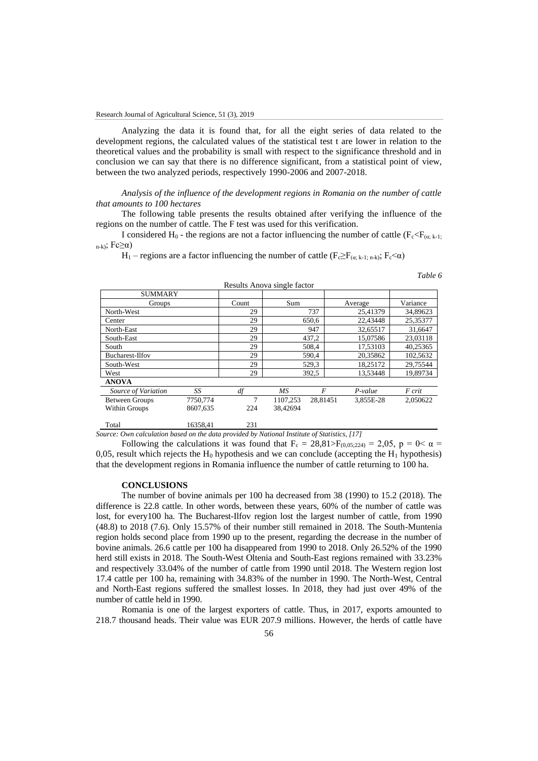Analyzing the data it is found that, for all the eight series of data related to the development regions, the calculated values of the statistical test t are lower in relation to the theoretical values and the probability is small with respect to the significance threshold and in conclusion we can say that there is no difference significant, from a statistical point of view, between the two analyzed periods, respectively 1990-2006 and 2007-2018.

*Analysis of the influence of the development regions in Romania on the number of cattle that amounts to 100 hectares*

The following table presents the results obtained after verifying the influence of the regions on the number of cattle. The F test was used for this verification.

I considered H<sub>0</sub> - the regions are not a factor influencing the number of cattle ( $F_c \le F_{(\alpha; k-1)}$ ; n-k); Fc≥α)

H<sub>1</sub> – regions are a factor influencing the number of cattle (F<sub>c</sub>≥F<sub>(α; k-1; n-k)</sub>; F<sub>c</sub>< $\alpha$ )

*Table 6*

| <b>SUMMARY</b>         |          |       |          |          |           |          |
|------------------------|----------|-------|----------|----------|-----------|----------|
| Groups                 |          | Count | Sum      |          | Average   | Variance |
| North-West             |          | 29    |          | 737      | 25.41379  | 34,89623 |
| Center                 |          | 29    |          | 650.6    | 22,43448  | 25,35377 |
| North-East             |          | 29    |          | 947      | 32.65517  | 31.6647  |
| South-East             |          | 29    |          | 437.2    | 15.07586  | 23.03118 |
| South                  |          | 29    |          | 508.4    | 17.53103  | 40.25365 |
| <b>Bucharest-Ilfov</b> |          | 29    |          | 590.4    | 20.35862  | 102,5632 |
| South-West             |          | 29    |          | 529,3    | 18.25172  | 29.75544 |
| West                   |          | 29    |          | 392.5    | 13.53448  | 19.89734 |
| <b>ANOVA</b>           |          |       |          |          |           |          |
| Source of Variation    | SS       | df    | MS.      | F        | $P-value$ | F crit   |
| <b>Between Groups</b>  | 7750,774 | 7     | 1107,253 | 28.81451 | 3.855E-28 | 2.050622 |
| Within Groups          | 8607,635 | 224   | 38.42694 |          |           |          |
| Total                  | 16358.41 | 231   |          |          |           |          |

Results Anova single factor

*Source: Own calculation based on the data provided by National Institute of Statistics, [17]*

Following the calculations it was found that  $F_c = 28.81 \ge F_{(0.05,224)} = 2.05$ ,  $p = 0 \le \alpha =$ 0,05, result which rejects the  $H_0$  hypothesis and we can conclude (accepting the  $H_1$  hypothesis) that the development regions in Romania influence the number of cattle returning to 100 ha.

### **CONCLUSIONS**

The number of bovine animals per 100 ha decreased from 38 (1990) to 15.2 (2018). The difference is 22.8 cattle. In other words, between these years, 60% of the number of cattle was lost, for every100 ha. The Bucharest-Ilfov region lost the largest number of cattle, from 1990 (48.8) to 2018 (7.6). Only 15.57% of their number still remained in 2018. The South-Muntenia region holds second place from 1990 up to the present, regarding the decrease in the number of bovine animals. 26.6 cattle per 100 ha disappeared from 1990 to 2018. Only 26.52% of the 1990 herd still exists in 2018. The South-West Oltenia and South-East regions remained with 33.23% and respectively 33.04% of the number of cattle from 1990 until 2018. The Western region lost 17.4 cattle per 100 ha, remaining with 34.83% of the number in 1990. The North-West, Central and North-East regions suffered the smallest losses. In 2018, they had just over 49% of the number of cattle held in 1990.

Romania is one of the largest exporters of cattle. Thus, in 2017, exports amounted to 218.7 thousand heads. Their value was EUR 207.9 millions. However, the herds of cattle have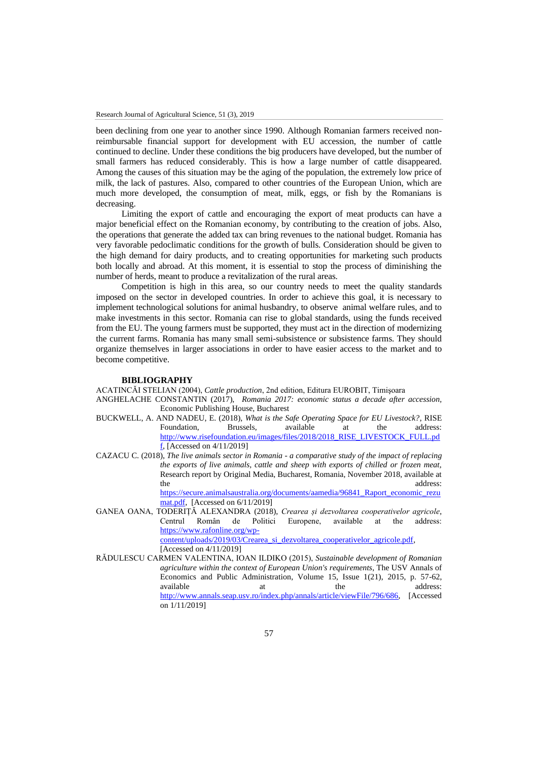been declining from one year to another since 1990. Although Romanian farmers received nonreimbursable financial support for development with EU accession, the number of cattle continued to decline. Under these conditions the big producers have developed, but the number of small farmers has reduced considerably. This is how a large number of cattle disappeared. Among the causes of this situation may be the aging of the population, the extremely low price of milk, the lack of pastures. Also, compared to other countries of the European Union, which are much more developed, the consumption of meat, milk, eggs, or fish by the Romanians is decreasing.

Limiting the export of cattle and encouraging the export of meat products can have a major beneficial effect on the Romanian economy, by contributing to the creation of jobs. Also, the operations that generate the added tax can bring revenues to the national budget. Romania has very favorable pedoclimatic conditions for the growth of bulls. Consideration should be given to the high demand for dairy products, and to creating opportunities for marketing such products both locally and abroad. At this moment, it is essential to stop the process of diminishing the number of herds, meant to produce a revitalization of the rural areas.

Competition is high in this area, so our country needs to meet the quality standards imposed on the sector in developed countries. In order to achieve this goal, it is necessary to implement technological solutions for animal husbandry, to observe animal welfare rules, and to make investments in this sector. Romania can rise to global standards, using the funds received from the EU. The young farmers must be supported, they must act in the direction of modernizing the current farms. Romania has many small semi-subsistence or subsistence farms. They should organize themselves in larger associations in order to have easier access to the market and to become competitive.

#### **BIBLIOGRAPHY**

ACATINCĂI STELIAN (2004), *Cattle production*, 2nd edition, Editura EUROBIT, Timişoara

- ANGHELACHE CONSTANTIN (2017), *Romania 2017: economic status a decade after accession,*  Economic Publishing House, Bucharest
- BUCKWELL, A. AND NADEU, E. (2018), *What is the Safe Operating Space for EU Livestock?*, RISE Foundation, Brussels, available at the address: [http://www.risefoundation.eu/images/files/2018/2018\\_RISE\\_LIVESTOCK\\_FULL.pd](http://www.risefoundation.eu/images/files/2018/2018_RISE_LIVESTOCK_FULL.pdf)  $f<sub>i</sub>$  [Accessed on 4/11/2019]
- CAZACU C. (2018), *The live animals sector in Romania - a comparative study of the impact of replacing the exports of live animals, cattle and sheep with exports of chilled or frozen meat,*  Research report by Original Media, Bucharest, Romania, November 2018, available at the address: [https://secure.animalsaustralia.org/documents/aamedia/96841\\_Raport\\_economic\\_rezu](https://secure.animalsaustralia.org/documents/aamedia/96841_Raport_economic_rezumat.pdf) [mat.pdf,](https://secure.animalsaustralia.org/documents/aamedia/96841_Raport_economic_rezumat.pdf) [Accessed on 6/11/2019]
- GANEA OANA, TODERIȚĂ ALEXANDRA (2018), *Crearea și dezvoltarea cooperativelor agricole*, Centrul Român de Politici Europene, available at the address: [https://www.rafonline.org/wp](https://www.rafonline.org/wp-content/uploads/2019/03/Crearea_si_dezvoltarea_cooperativelor_agricole.pdf)[content/uploads/2019/03/Crearea\\_si\\_dezvoltarea\\_cooperativelor\\_agricole.pdf,](https://www.rafonline.org/wp-content/uploads/2019/03/Crearea_si_dezvoltarea_cooperativelor_agricole.pdf)  [Accessed on 4/11/2019]
- RĂDULESCU CARMEN VALENTINA, IOAN ILDIKO (2015), *Sustainable development of Romanian agriculture within the context of European Union's requirements*, The USV Annals of Economics and Public Administration, Volume 15, Issue 1(21), 2015, p. 57-62, available at the address: [http://www.annals.seap.usv.ro/index.php/annals/article/viewFile/796/686,](http://www.annals.seap.usv.ro/index.php/annals/article/viewFile/796/686) [Accessed on 1/11/2019]